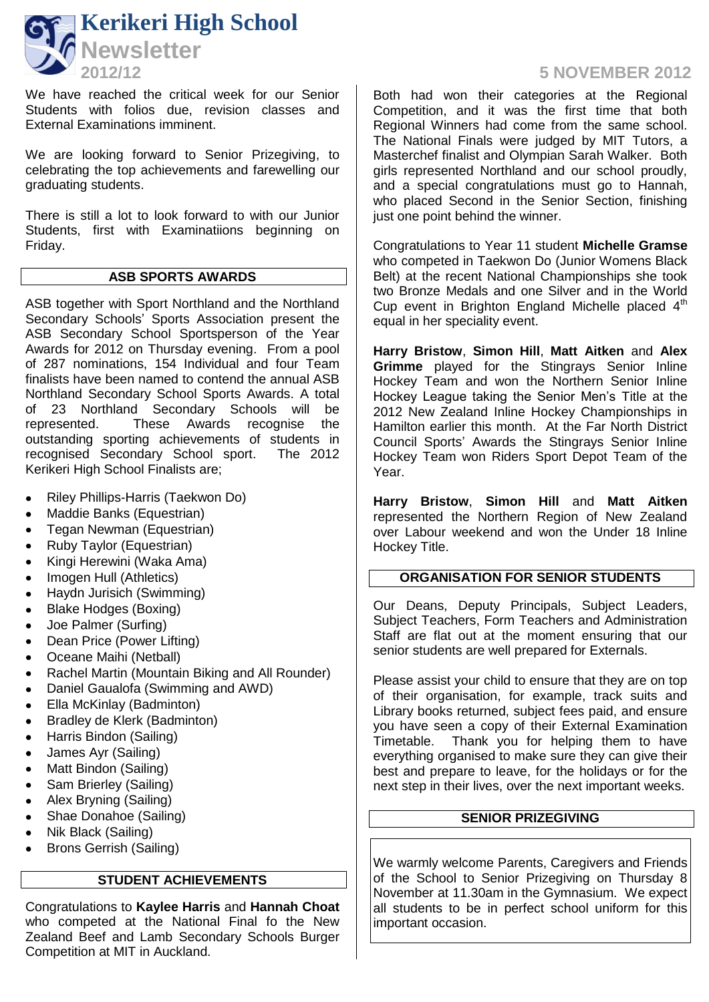

We have reached the critical week for our Senior Students with folios due, revision classes and External Examinations imminent.

We are looking forward to Senior Prizegiving, to celebrating the top achievements and farewelling our graduating students.

There is still a lot to look forward to with our Junior Students, first with Examinatiions beginning on Friday.

#### **ASB SPORTS AWARDS**

ASB together with Sport Northland and the Northland Secondary Schools' Sports Association present the ASB Secondary School Sportsperson of the Year Awards for 2012 on Thursday evening. From a pool of 287 nominations, 154 Individual and four Team finalists have been named to contend the annual ASB Northland Secondary School Sports Awards. A total of 23 Northland Secondary Schools will be<br>represented. These Awards recognise the represented. These Awards recognise outstanding sporting achievements of students in recognised Secondary School sport. The 2012 Kerikeri High School Finalists are;

- Riley Phillips-Harris (Taekwon Do)
- Maddie Banks (Equestrian)
- Tegan Newman (Equestrian)
- Ruby Taylor (Equestrian)
- Kingi Herewini (Waka Ama)
- Imogen Hull (Athletics)
- Haydn Jurisich (Swimming)
- Blake Hodges (Boxing)
- Joe Palmer (Surfing)
- Dean Price (Power Lifting)
- Oceane Maihi (Netball)
- Rachel Martin (Mountain Biking and All Rounder)
- Daniel Gaualofa (Swimming and AWD)
- Ella McKinlay (Badminton)
- Bradley de Klerk (Badminton)
- Harris Bindon (Sailing)
- James Ayr (Sailing)
- Matt Bindon (Sailing)
- Sam Brierley (Sailing)
- Alex Bryning (Sailing)
- Shae Donahoe (Sailing)
- Nik Black (Sailing)
- Brons Gerrish (Sailing)

## **STUDENT ACHIEVEMENTS**

Congratulations to **Kaylee Harris** and **Hannah Choat** who competed at the National Final fo the New Zealand Beef and Lamb Secondary Schools Burger Competition at MIT in Auckland.

# **2012/12 5 NOVEMBER 2012**

Both had won their categories at the Regional Competition, and it was the first time that both Regional Winners had come from the same school. The National Finals were judged by MIT Tutors, a Masterchef finalist and Olympian Sarah Walker. Both girls represented Northland and our school proudly, and a special congratulations must go to Hannah, who placed Second in the Senior Section, finishing just one point behind the winner.

Congratulations to Year 11 student **Michelle Gramse** who competed in Taekwon Do (Junior Womens Black Belt) at the recent National Championships she took two Bronze Medals and one Silver and in the World Cup event in Brighton England Michelle placed  $4<sup>th</sup>$ equal in her speciality event.

**Harry Bristow**, **Simon Hill**, **Matt Aitken** and **Alex Grimme** played for the Stingrays Senior Inline Hockey Team and won the Northern Senior Inline Hockey League taking the Senior Men's Title at the 2012 New Zealand Inline Hockey Championships in Hamilton earlier this month. At the Far North District Council Sports' Awards the Stingrays Senior Inline Hockey Team won Riders Sport Depot Team of the Year.

**Harry Bristow**, **Simon Hill** and **Matt Aitken** represented the Northern Region of New Zealand over Labour weekend and won the Under 18 Inline Hockey Title.

#### **ORGANISATION FOR SENIOR STUDENTS**

Our Deans, Deputy Principals, Subject Leaders, Subject Teachers, Form Teachers and Administration Staff are flat out at the moment ensuring that our senior students are well prepared for Externals.

Please assist your child to ensure that they are on top of their organisation, for example, track suits and Library books returned, subject fees paid, and ensure you have seen a copy of their External Examination Timetable. Thank you for helping them to have everything organised to make sure they can give their best and prepare to leave, for the holidays or for the next step in their lives, over the next important weeks.

# **SENIOR PRIZEGIVING**

We warmly welcome Parents, Caregivers and Friends of the School to Senior Prizegiving on Thursday 8 November at 11.30am in the Gymnasium. We expect all students to be in perfect school uniform for this important occasion.